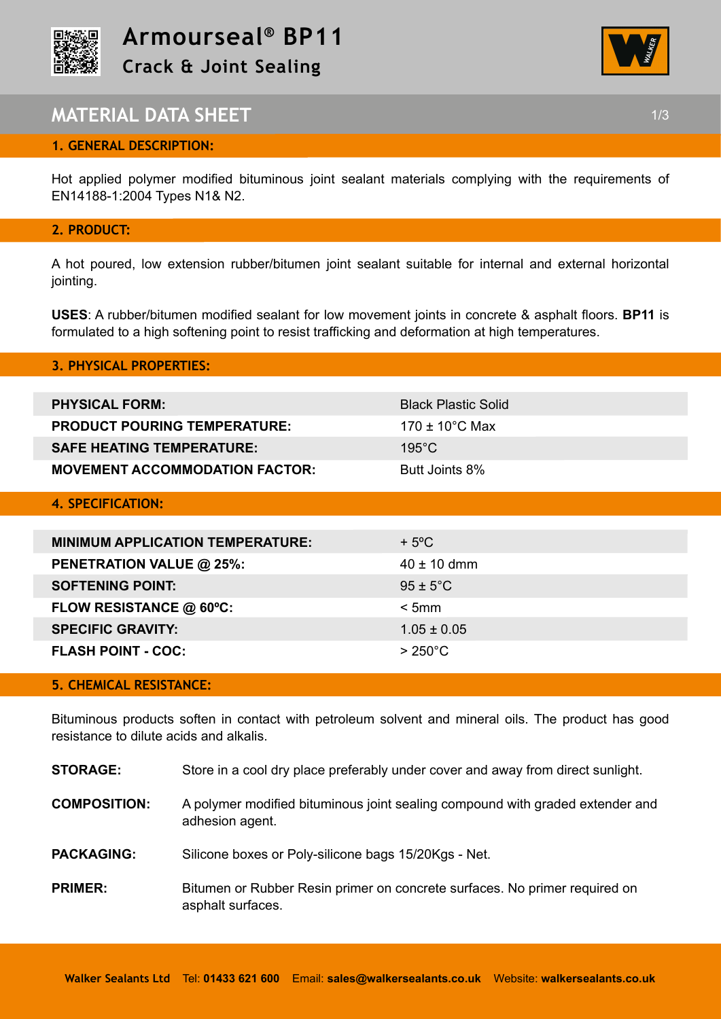



## **MATERIAL DATA SHEET** 1/3

#### **1. GENERAL DESCRIPTION:**

Hot applied polymer modified bituminous joint sealant materials complying with the requirements of EN14188-1:2004 Types N1& N2.

#### **2. PRODUCT:**

A hot poured, low extension rubber/bitumen joint sealant suitable for internal and external horizontal jointing.

**USES**: A rubber/bitumen modified sealant for low movement joints in concrete & asphalt floors. **BP11** is formulated to a high softening point to resist trafficking and deformation at high temperatures.

## **3. PHYSICAL PROPERTIES:**

| <b>PHYSICAL FORM:</b>                 | <b>Black Plastic Solid</b>    |
|---------------------------------------|-------------------------------|
| <b>PRODUCT POURING TEMPERATURE:</b>   | 170 $\pm$ 10 $^{\circ}$ C Max |
| <b>SAFE HEATING TEMPERATURE:</b>      | $195^{\circ}$ C               |
| <b>MOVEMENT ACCOMMODATION FACTOR:</b> | Butt Joints 8%                |
| 4. SPECIFICATION:                     |                               |

| <b>MINIMUM APPLICATION TEMPERATURE:</b> | $+5^{\circ}$ C       |
|-----------------------------------------|----------------------|
| <b>PENETRATION VALUE @ 25%:</b>         | $40 \pm 10$ dmm      |
| <b>SOFTENING POINT:</b>                 | $95 \pm 5^{\circ}$ C |
| FLOW RESISTANCE @ 60°C:                 | < 5mm                |
| <b>SPECIFIC GRAVITY:</b>                | $1.05 \pm 0.05$      |
| <b>FLASH POINT - COC:</b>               | $>250^{\circ}$ C     |

#### **5. CHEMICAL RESISTANCE:**

Bituminous products soften in contact with petroleum solvent and mineral oils. The product has good resistance to dilute acids and alkalis.

| Store in a cool dry place preferably under cover and away from direct sunlight. |
|---------------------------------------------------------------------------------|
|                                                                                 |

- **COMPOSITION:** A polymer modified bituminous joint sealing compound with graded extender and adhesion agent.
- PACKAGING: Silicone boxes or Poly-silicone bags 15/20Kgs Net.
- **PRIMER:** Bitumen or Rubber Resin primer on concrete surfaces. No primer required on asphalt surfaces.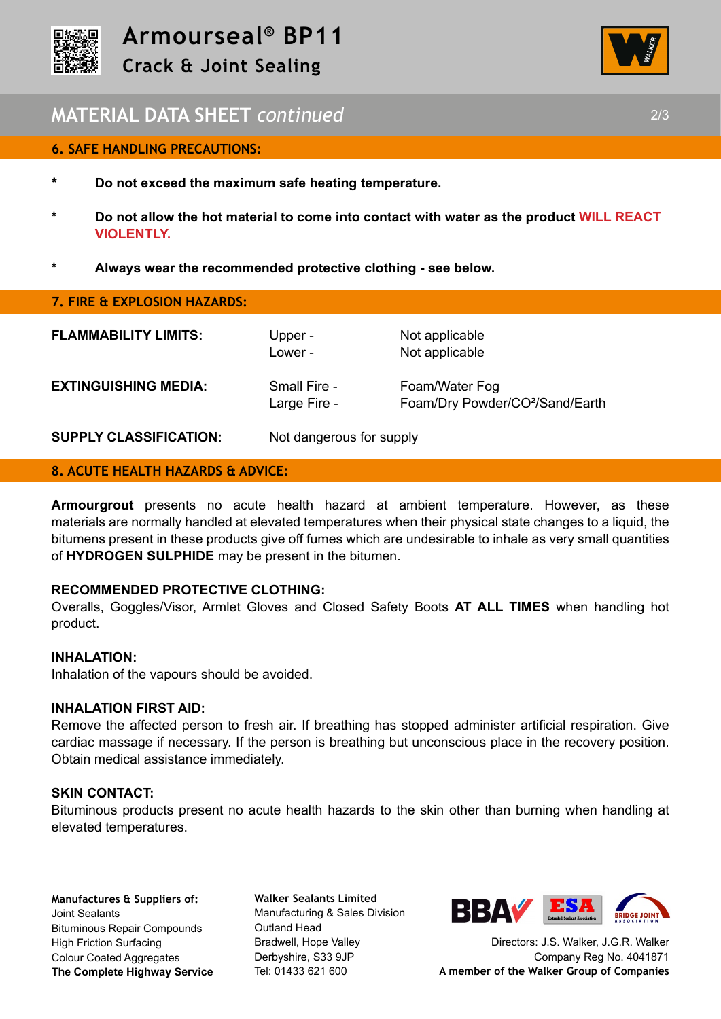



# **MATERIAL DATA SHEET** *continued* 2/3

#### **6. SAFE HANDLING PRECAUTIONS:**

- **\* Do not exceed the maximum safe heating temperature.**
- **\* Do not allow the hot material to come into contact with water as the product WILL REACT VIOLENTLY.**
- **\* Always wear the recommended protective clothing see below.**

#### **7. FIRE & EXPLOSION HAZARDS:**

**FLAMMABILITY LIMITS:** Upper - Not applicable

**EXTINGUISHING MEDIA:** Small Fire - Foam/Water Fog

Lower - Not applicable

Large Fire - Foam/Dry Powder/CO<sup>2</sup>/Sand/Earth

#### **SUPPLY CLASSIFICATION:** Not dangerous for supply

## **8. ACUTE HEALTH HAZARDS & ADVICE:**

**Armourgrout** presents no acute health hazard at ambient temperature. However, as these materials are normally handled at elevated temperatures when their physical state changes to a liquid, the bitumens present in these products give off fumes which are undesirable to inhale as very small quantities of **HYDROGEN SULPHIDE** may be present in the bitumen.

#### **RECOMMENDED PROTECTIVE CLOTHING:**

Overalls, Goggles/Visor, Armlet Gloves and Closed Safety Boots **AT ALL TIMES** when handling hot product.

#### **INHALATION:**

Inhalation of the vapours should be avoided.

## **INHALATION FIRST AID:**

Remove the affected person to fresh air. If breathing has stopped administer artificial respiration. Give cardiac massage if necessary. If the person is breathing but unconscious place in the recovery position. Obtain medical assistance immediately.

#### **SKIN CONTACT:**

Bituminous products present no acute health hazards to the skin other than burning when handling at elevated temperatures.

**Manufactures & Suppliers of:**  Joint Sealants Bituminous Repair Compounds High Friction Surfacing Colour Coated Aggregates **The Complete Highway Service**

**Walker Sealants Limited**  Manufacturing & Sales Division Outland Head Bradwell, Hope Valley Derbyshire, S33 9JP Tel: 01433 621 600



Directors: J.S. Walker, J.G.R. Walker Company Reg No. 4041871 **A member of the Walker Group of Companies**